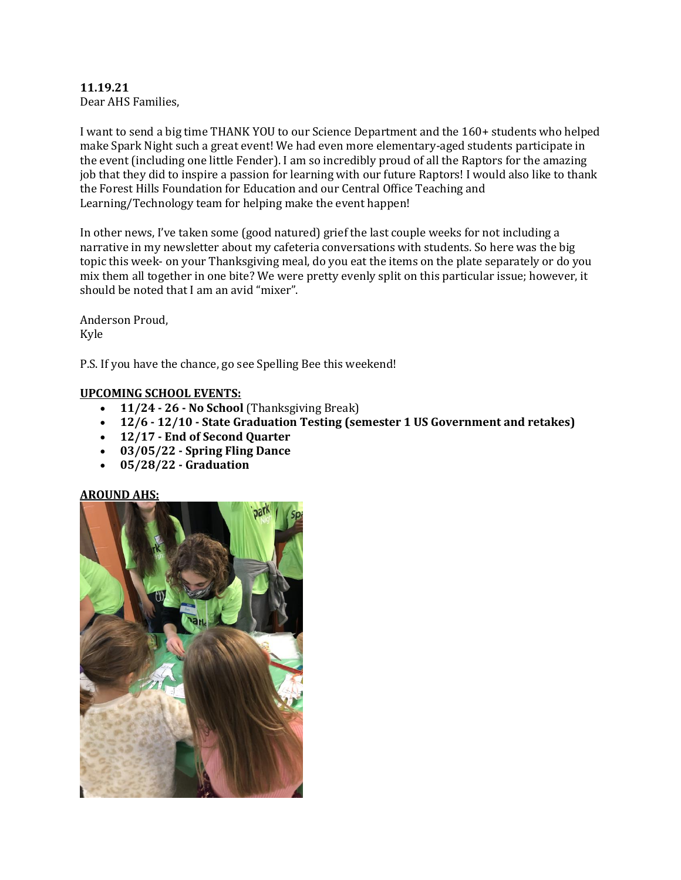# **11.19.21**

Dear AHS Families,

I want to send a big time THANK YOU to our Science Department and the 160+ students who helped make Spark Night such a great event! We had even more elementary-aged students participate in the event (including one little Fender). I am so incredibly proud of all the Raptors for the amazing job that they did to inspire a passion for learning with our future Raptors! I would also like to thank the Forest Hills Foundation for Education and our Central Office Teaching and Learning/Technology team for helping make the event happen!

In other news, I've taken some (good natured) grief the last couple weeks for not including a narrative in my newsletter about my cafeteria conversations with students. So here was the big topic this week- on your Thanksgiving meal, do you eat the items on the plate separately or do you mix them all together in one bite? We were pretty evenly split on this particular issue; however, it should be noted that I am an avid "mixer".

Anderson Proud, Kyle

P.S. If you have the chance, go see Spelling Bee this weekend!

#### **UPCOMING SCHOOL EVENTS:**

- **11/24 - 26 - No School** (Thanksgiving Break)
- **12/6 - 12/10 - State Graduation Testing (semester 1 US Government and retakes)**
- **12/17 - End of Second Quarter**
- **03/05/22 - Spring Fling Dance**
- **05/28/22 - Graduation**

# **AROUND AHS:**

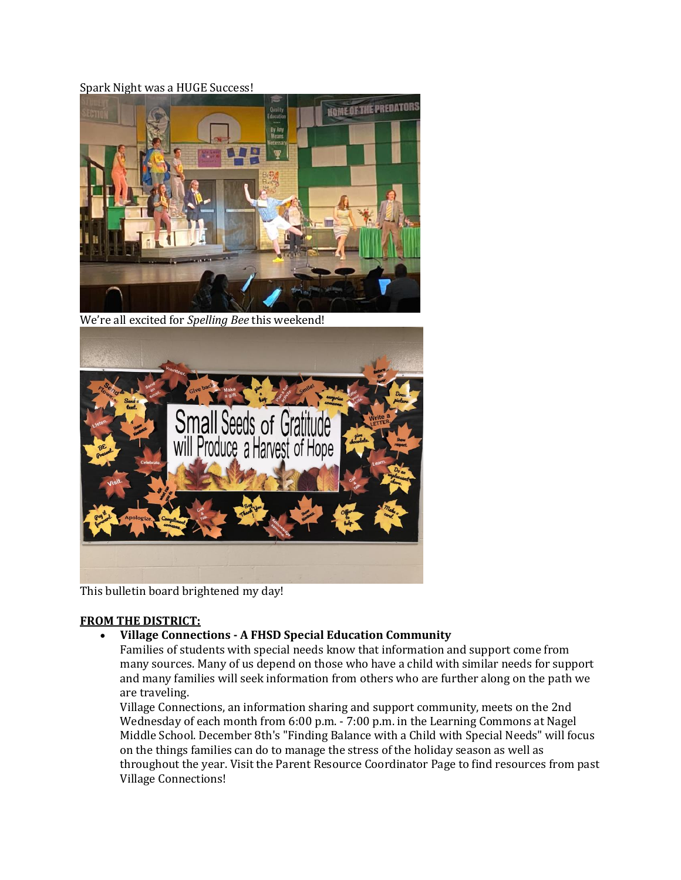#### Spark Night was a HUGE Success!



We're all excited for *Spelling Bee* this weekend!



This bulletin board brightened my day!

#### **FROM THE DISTRICT:**

#### **Village Connections - A FHSD Special Education Community**

Families of students with special needs know that information and support come from many sources. Many of us depend on those who have a child with similar needs for support and many families will seek information from others who are further along on the path we are traveling.

Village Connections, an information sharing and support community, meets on the 2nd Wednesday of each month from 6:00 p.m. - 7:00 p.m. in the Learning Commons at Nagel Middle School. December 8th's "Finding Balance with a Child with Special Needs" will focus on the things families can do to manage the stress of the holiday season as well as throughout the year. Visit the Parent Resource Coordinator Page to find resources from past Village Connections!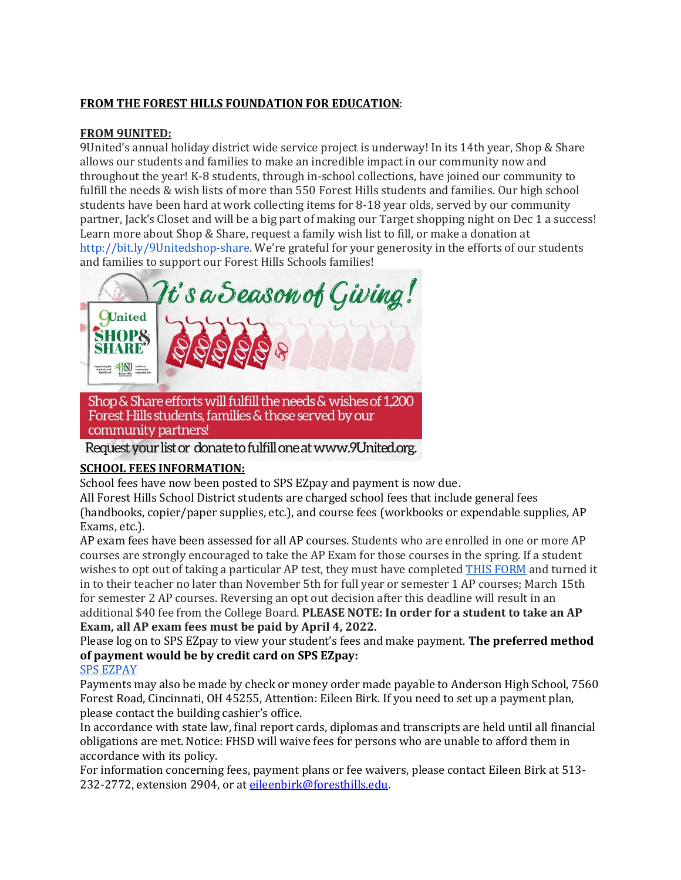# **FROM THE FOREST HILLS FOUNDATION FOR EDUCATION**:

#### **FROM 9UNITED:**

9United's annual holiday district wide service project is underway! In its 14th year, Shop & Share allows our students and families to make an incredible impact in our community now and throughout the year! K-8 students, through in-school collections, have joined our community to fulfill the needs & wish lists of more than 550 Forest Hills students and families. Our high school students have been hard at work collecting items for 8-18 year olds, served by our community partner, Jack's Closet and will be a big part of making our Target shopping night on Dec 1 a success! Learn more about Shop & Share, request a family wish list to fill, or make a donation a[t](http://bit.ly/9Unitedshop-share) <http://bit.ly/9Unitedshop-share>. We're grateful for your generosity in the efforts of our students and families to support our Forest Hills Schools families!



community partners!

Request your list or donate to fulfill one at www.9United.org.

#### **SCHOOL FEES INFORMATION:**

School fees have now been posted to SPS EZpay and payment is now due.

All Forest Hills School District students are charged school fees that include general fees (handbooks, copier/paper supplies, etc.), and course fees (workbooks or expendable supplies, AP Exams, etc.).

AP exam fees have been assessed for all AP courses. Students who are enrolled in one or more AP courses are strongly encouraged to take the AP Exam for those courses in the spring. If a student wishes to opt out of taking a particular AP test, they must have completed [THIS FORM](https://drive.google.com/file/d/1QEOBqQ8nFCLhynrTisBbgSCuykUib2t7/view?usp=sharing) and turned it in to their teacher no later than November 5th for full year or semester 1 AP courses; March 15th for semester 2 AP courses. Reversing an opt out decision after this deadline will result in an additional \$40 fee from the College Board. **PLEASE NOTE: In order for a student to take an AP Exam, all AP exam fees must be paid by April 4, 2022.**

Please log on to SPS EZpay to view your student's fees and make payment. **The preferred method of payment would be by credit card on SPS EZpay:**

#### [SPS EZPAY](https://www.spsezpay.com/ForestHills/ezpay/Login.aspx)

Payments may also be made by check or money order made payable to Anderson High School, 7560 Forest Road, Cincinnati, OH 45255, Attention: Eileen Birk. If you need to set up a payment plan, please contact the building cashier's office.

In accordance with state law, final report cards, diplomas and transcripts are held until all financial obligations are met. Notice: FHSD will waive fees for persons who are unable to afford them in accordance with its policy.

For information concerning fees, payment plans or fee waivers, please contact Eileen Birk at 513- 232-2772, extension 2904, or a[t eileenbirk@foresthills.edu.](mailto:eileenbirk@foresthills.edu)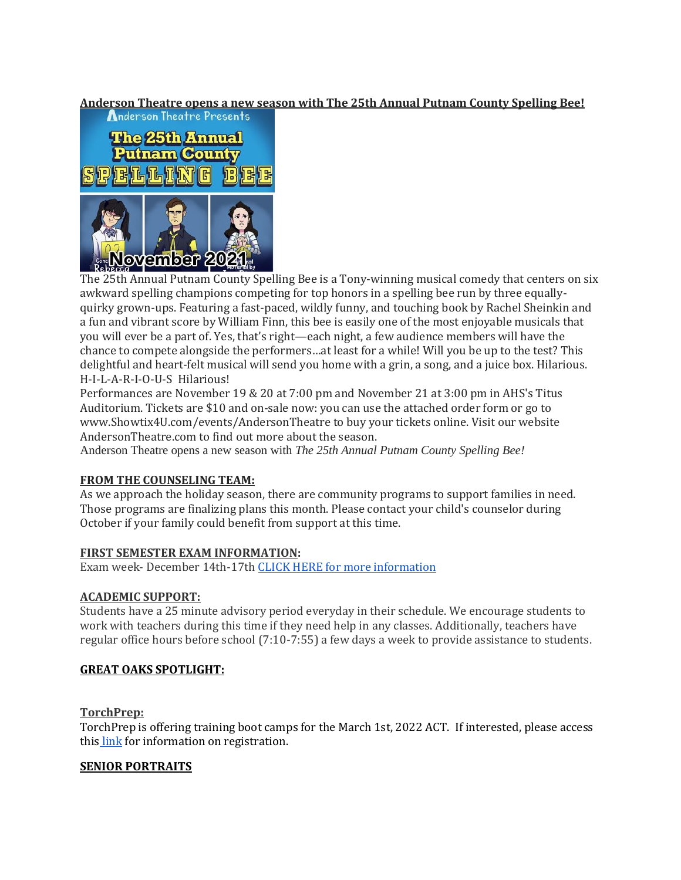# **Anderson Theatre opens a new season with The 25th Annual Putnam County Spelling Bee!**



The 25th Annual Putnam County Spelling Bee is a Tony-winning musical comedy that centers on six awkward spelling champions competing for top honors in a spelling bee run by three equallyquirky grown-ups. Featuring a fast-paced, wildly funny, and touching book by Rachel Sheinkin and a fun and vibrant score by William Finn, this bee is easily one of the most enjoyable musicals that you will ever be a part of. Yes, that's right—each night, a few audience members will have the chance to compete alongside the performers…at least for a while! Will you be up to the test? This delightful and heart-felt musical will send you home with a grin, a song, and a juice box. Hilarious. H-I-L-A-R-I-O-U-S Hilarious!

Performances are November 19 & 20 at 7:00 pm and November 21 at 3:00 pm in AHS's Titus Auditorium. Tickets are \$10 and on-sale now: you can use the attached order form or go to www.Showtix4U.com/events/AndersonTheatre to buy your tickets online. Visit our website AndersonTheatre.com to find out more about the season.

Anderson Theatre opens a new season with *The 25th Annual Putnam County Spelling Bee!*

#### **FROM THE COUNSELING TEAM:**

As we approach the holiday season, there are community programs to support families in need. Those programs are finalizing plans this month. Please contact your child's counselor during October if your family could benefit from support at this time.

#### **FIRST SEMESTER EXAM INFORMATION:**

Exam week- December 14th-17th [CLICK HERE for more information](https://docs.google.com/document/d/15_Z0HWxyL4gCEXrNMIMHIMDNpJdxk01rBqXNd9szeBw/edit?usp=sharing)

#### **ACADEMIC SUPPORT:**

Students have a 25 minute advisory period everyday in their schedule. We encourage students to work with teachers during this time if they need help in any classes. Additionally, teachers have regular office hours before school (7:10-7:55) a few days a week to provide assistance to students.

#### **GREAT OAKS SPOTLIGHT:**

#### **TorchPrep:**

TorchPrep is offering training boot camps for the March 1st, 2022 ACT. If interested, please access this [link](https://www.torchprep.com/confirm/?course_id=20141) for information on registration.

#### **SENIOR PORTRAITS**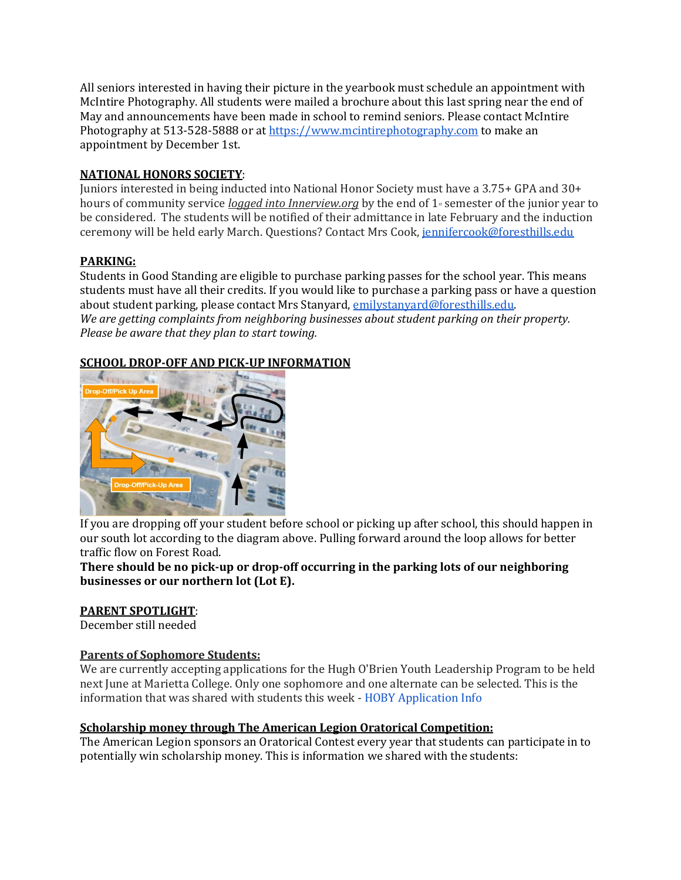All seniors interested in having their picture in the yearbook must schedule an appointment with McIntire Photography. All students were mailed a brochure about this last spring near the end of May and announcements have been made in school to remind seniors. Please contact McIntire Photography at 513-528-5888 or a[t https://www.mcintirephotography.com](https://www.mcintirephotography.com/) to make an appointment by December 1st.

# **NATIONAL HONORS SOCIETY**:

Juniors interested in being inducted into National Honor Society must have a 3.75+ GPA and 30+ hours of community service *logged into Innerview.org* by the end of 1<sup>st</sup> semester of the junior year to be considered. The students will be notified of their admittance in late February and the induction ceremony will be held early March. Questions? Contact Mrs Cook, [jennifercook@foresthills.edu](mailto:jennifercook@foresthills.edu)

# **PARKING:**

Students in Good Standing are eligible to purchase parking passes for the school year. This means students must have all their credits. If you would like to purchase a parking pass or have a question about student parking, please contact Mrs Stanyard[, emilystanyard@foresthills.edu.](mailto:emilystanyard@foresthills.edu) *We are getting complaints from neighboring businesses about student parking on their property. Please be aware that they plan to start towing.*

# **SCHOOL DROP-OFF AND PICK-UP INFORMATION**



If you are dropping off your student before school or picking up after school, this should happen in our south lot according to the diagram above. Pulling forward around the loop allows for better traffic flow on Forest Road.

#### **There should be no pick-up or drop-off occurring in the parking lots of our neighboring businesses or our northern lot (Lot E).**

# **PARENT SPOTLIGHT**:

December still needed

# **Parents of Sophomore Students:**

We are currently accepting applications for the Hugh O'Brien Youth Leadership Program to be held next June at Marietta College. Only one sophomore and one alternate can be selected. This is the information that was shared with students this week - [HOBY Application Info](https://docs.google.com/document/d/1Z8BxhpLxeiT7okXzvPKUyIodZkgagIsrxH03yqa70Xw/edit?usp=sharing)

# **Scholarship money through The American Legion Oratorical Competition:**

The American Legion sponsors an Oratorical Contest every year that students can participate in to potentially win scholarship money. This is information we shared with the students: